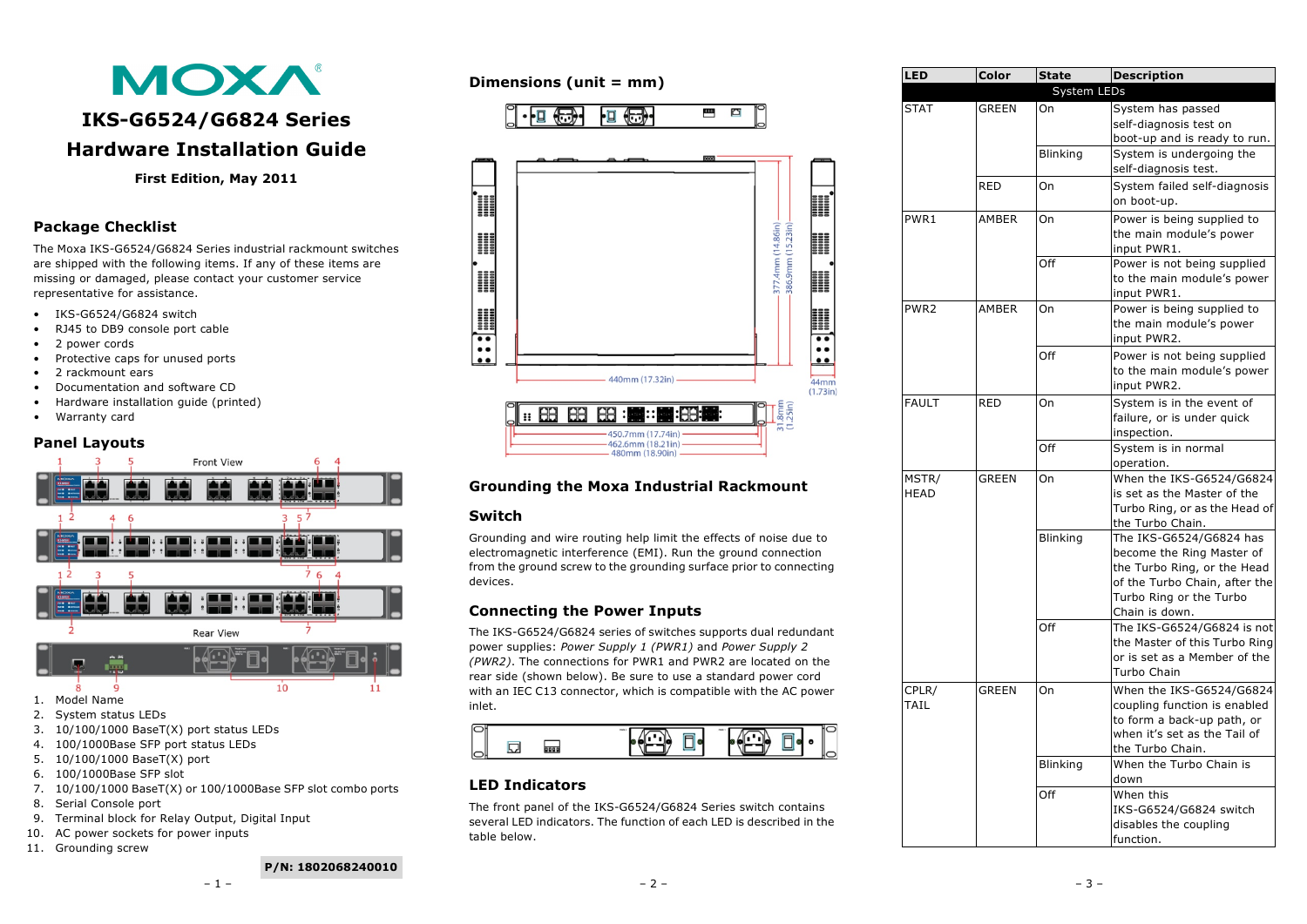# **MOXA**

# **IKS-G6524/G6824 Series Hardware Installation Guide**

#### **First Edition, May 2011**

## **Package Checklist**

The Moxa IKS-G6524/G6824 Series industrial rackmount switches are shipped with the following items. If any of these items are missing or damaged, please contact your customer service representative for assistance.

- IKS-G6524/G6824 switch
- RJ45 to DB9 console port cable
- 2 power cords
- Protective caps for unused ports
- 2 rackmount ears
- Documentation and software CD
- Hardware installation guide (printed)
- Warranty card

#### **Panel Layouts**



- 2. System status LEDs
- 
- 3. 10/100/1000 BaseT(X) port status LEDs 4. 100/1000Base SFP port status LEDs
- 5. 10/100/1000 BaseT(X) port
- 6. 100/1000Base SFP slot
- 7. 10/100/1000 BaseT(X) or 100/1000Base SFP slot combo ports
- 8. Serial Console port
- 9. Terminal block for Relay Output, Digital Input
- 10. AC power sockets for power inputs
- 11. Grounding screw

# $\overline{\phantom{a}}$  $\overline{a}$ ŀØ <del>(Fi</del>)• anning<br>Anningan 377.4mm (14.86in) –<br>– (13.23in) – nnnon<br>Manag 1100000<br>11000000<br>11000000

100000<br>100000

 $\overline{\cdots}$ 

**Dimensions (unit = mm)**



# **Grounding the Moxa Industrial Rackmount**

#### **Switch**

 $\overline{\cdot}$ 

Grounding and wire routing help limit the effects of noise due to electromagnetic interference (EMI). Run the ground connection from the ground screw to the grounding surface prior to connecting devices.

## **Connecting the Power Inputs**

The IKS-G6524/G6824 series of switches supports dual redundant power supplies: *Power Supply 1 (PWR1)* and *Power Supply 2 (PWR2)*. The connections for PWR1 and PWR2 are located on the rear side (shown below). Be sure to use a standard power cord with an IEC C13 connector, which is compatible with the AC power inlet.



## **LED Indicators**

The front panel of the IKS-G6524/G6824 Series switch contains several LED indicators. The function of each LED is described in the table below.

| Color        | <b>State</b>                                 | <b>Description</b>                                                |
|--------------|----------------------------------------------|-------------------------------------------------------------------|
|              | System LEDs                                  |                                                                   |
| <b>GREEN</b> | On                                           | System has passed                                                 |
|              |                                              | self-diagnosis test on                                            |
|              |                                              | boot-up and is ready to run.                                      |
|              | Blinking                                     | System is undergoing the                                          |
|              |                                              | self-diagnosis test.                                              |
| <b>RED</b>   | On                                           | System failed self-diagnosis                                      |
|              |                                              | on boot-up.                                                       |
| AMBER        | On                                           | Power is being supplied to                                        |
|              |                                              | the main module's power                                           |
|              |                                              | input PWR1.                                                       |
|              | Off                                          | Power is not being supplied                                       |
|              |                                              | to the main module's power                                        |
|              |                                              | input PWR1.                                                       |
|              |                                              | Power is being supplied to                                        |
|              |                                              | the main module's power                                           |
|              |                                              | input PWR2.                                                       |
|              |                                              | Power is not being supplied                                       |
|              |                                              | to the main module's power                                        |
|              |                                              | input PWR2.                                                       |
|              |                                              | System is in the event of                                         |
|              |                                              | failure, or is under quick                                        |
|              |                                              | inspection.                                                       |
|              |                                              | System is in normal                                               |
|              |                                              | operation.<br>When the IKS-G6524/G6824                            |
|              |                                              | is set as the Master of the                                       |
|              |                                              | Turbo Ring, or as the Head of                                     |
|              |                                              | the Turbo Chain.                                                  |
|              |                                              | The IKS-G6524/G6824 has                                           |
|              |                                              | become the Ring Master of                                         |
|              |                                              | the Turbo Ring, or the Head                                       |
|              |                                              | of the Turbo Chain, after the                                     |
|              |                                              | Turbo Ring or the Turbo                                           |
|              |                                              | Chain is down.                                                    |
|              | Off                                          | The IKS-G6524/G6824 is not                                        |
|              |                                              | the Master of this Turbo Ring                                     |
|              |                                              | or is set as a Member of the                                      |
|              |                                              | Turbo Chain                                                       |
|              |                                              | When the IKS-G6524/G6824                                          |
|              |                                              | coupling function is enabled                                      |
|              |                                              | to form a back-up path, or                                        |
|              |                                              | when it's set as the Tail of                                      |
|              |                                              | the Turbo Chain.<br>When the Turbo Chain is                       |
|              |                                              | down                                                              |
|              |                                              | When this                                                         |
|              |                                              | IKS-G6524/G6824 switch                                            |
|              |                                              | disables the coupling                                             |
|              |                                              |                                                                   |
|              | AMBER<br><b>RED</b><br><b>GREEN</b><br>GREEN | On<br>Off<br>On<br>Off<br>On<br>Blinking<br>On<br>Blinking<br>Off |

#### **P/N: 1802068240010**